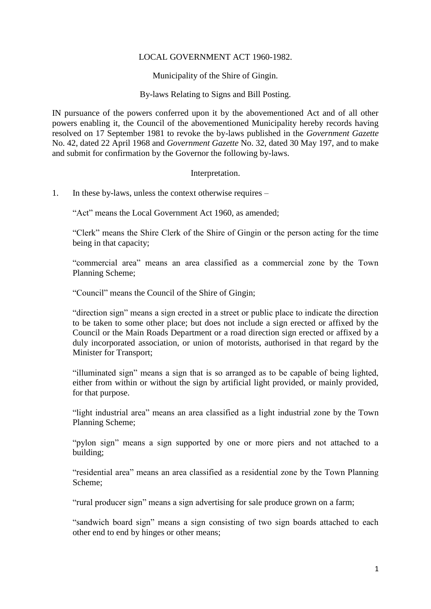# LOCAL GOVERNMENT ACT 1960-1982.

Municipality of the Shire of Gingin.

By-laws Relating to Signs and Bill Posting.

IN pursuance of the powers conferred upon it by the abovementioned Act and of all other powers enabling it, the Council of the abovementioned Municipality hereby records having resolved on 17 September 1981 to revoke the by-laws published in the *Government Gazette* No. 42, dated 22 April 1968 and *Government Gazette* No. 32, dated 30 May 197, and to make and submit for confirmation by the Governor the following by-laws.

# Interpretation.

1. In these by-laws, unless the context otherwise requires –

"Act" means the Local Government Act 1960, as amended;

"Clerk" means the Shire Clerk of the Shire of Gingin or the person acting for the time being in that capacity;

"commercial area" means an area classified as a commercial zone by the Town Planning Scheme;

"Council" means the Council of the Shire of Gingin;

"direction sign" means a sign erected in a street or public place to indicate the direction to be taken to some other place; but does not include a sign erected or affixed by the Council or the Main Roads Department or a road direction sign erected or affixed by a duly incorporated association, or union of motorists, authorised in that regard by the Minister for Transport;

"illuminated sign" means a sign that is so arranged as to be capable of being lighted, either from within or without the sign by artificial light provided, or mainly provided, for that purpose.

"light industrial area" means an area classified as a light industrial zone by the Town Planning Scheme;

"pylon sign" means a sign supported by one or more piers and not attached to a building;

"residential area" means an area classified as a residential zone by the Town Planning Scheme;

"rural producer sign" means a sign advertising for sale produce grown on a farm;

"sandwich board sign" means a sign consisting of two sign boards attached to each other end to end by hinges or other means;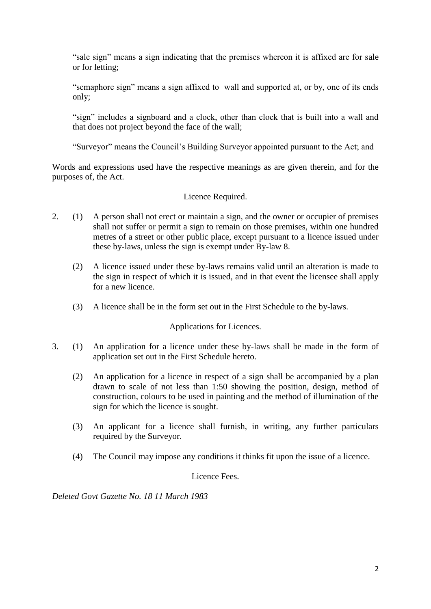"sale sign" means a sign indicating that the premises whereon it is affixed are for sale or for letting;

"semaphore sign" means a sign affixed to wall and supported at, or by, one of its ends only;

"sign" includes a signboard and a clock, other than clock that is built into a wall and that does not project beyond the face of the wall;

"Surveyor" means the Council's Building Surveyor appointed pursuant to the Act; and

Words and expressions used have the respective meanings as are given therein, and for the purposes of, the Act.

Licence Required.

- 2. (1) A person shall not erect or maintain a sign, and the owner or occupier of premises shall not suffer or permit a sign to remain on those premises, within one hundred metres of a street or other public place, except pursuant to a licence issued under these by-laws, unless the sign is exempt under By-law 8.
	- (2) A licence issued under these by-laws remains valid until an alteration is made to the sign in respect of which it is issued, and in that event the licensee shall apply for a new licence.
	- (3) A licence shall be in the form set out in the First Schedule to the by-laws.

# Applications for Licences.

- 3. (1) An application for a licence under these by-laws shall be made in the form of application set out in the First Schedule hereto.
	- (2) An application for a licence in respect of a sign shall be accompanied by a plan drawn to scale of not less than 1:50 showing the position, design, method of construction, colours to be used in painting and the method of illumination of the sign for which the licence is sought.
	- (3) An applicant for a licence shall furnish, in writing, any further particulars required by the Surveyor.
	- (4) The Council may impose any conditions it thinks fit upon the issue of a licence.

Licence Fees.

*Deleted Govt Gazette No. 18 11 March 1983*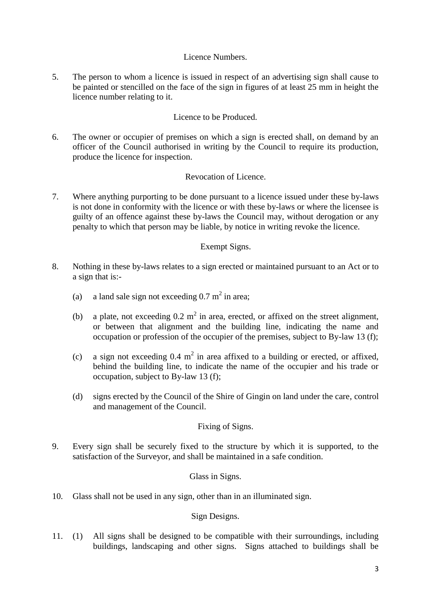# Licence Numbers.

5. The person to whom a licence is issued in respect of an advertising sign shall cause to be painted or stencilled on the face of the sign in figures of at least 25 mm in height the licence number relating to it.

# Licence to be Produced.

6. The owner or occupier of premises on which a sign is erected shall, on demand by an officer of the Council authorised in writing by the Council to require its production, produce the licence for inspection.

# Revocation of Licence.

7. Where anything purporting to be done pursuant to a licence issued under these by-laws is not done in conformity with the licence or with these by-laws or where the licensee is guilty of an offence against these by-laws the Council may, without derogation or any penalty to which that person may be liable, by notice in writing revoke the licence.

# Exempt Signs.

- 8. Nothing in these by-laws relates to a sign erected or maintained pursuant to an Act or to a sign that is:-
	- (a) a land sale sign not exceeding  $0.7 \text{ m}^2$  in area;
	- (b) a plate, not exceeding  $0.2 \text{ m}^2$  in area, erected, or affixed on the street alignment, or between that alignment and the building line, indicating the name and occupation or profession of the occupier of the premises, subject to By-law 13 (f);
	- (c) a sign not exceeding  $0.4 \text{ m}^2$  in area affixed to a building or erected, or affixed, behind the building line, to indicate the name of the occupier and his trade or occupation, subject to By-law 13 (f);
	- (d) signs erected by the Council of the Shire of Gingin on land under the care, control and management of the Council.

# Fixing of Signs.

9. Every sign shall be securely fixed to the structure by which it is supported, to the satisfaction of the Surveyor, and shall be maintained in a safe condition.

# Glass in Signs.

10. Glass shall not be used in any sign, other than in an illuminated sign.

### Sign Designs.

11. (1) All signs shall be designed to be compatible with their surroundings, including buildings, landscaping and other signs. Signs attached to buildings shall be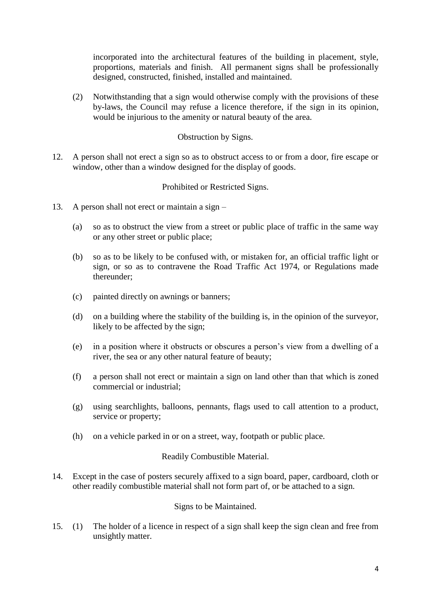incorporated into the architectural features of the building in placement, style, proportions, materials and finish. All permanent signs shall be professionally designed, constructed, finished, installed and maintained.

(2) Notwithstanding that a sign would otherwise comply with the provisions of these by-laws, the Council may refuse a licence therefore, if the sign in its opinion, would be injurious to the amenity or natural beauty of the area.

# Obstruction by Signs.

12. A person shall not erect a sign so as to obstruct access to or from a door, fire escape or window, other than a window designed for the display of goods.

### Prohibited or Restricted Signs.

- 13. A person shall not erect or maintain a sign
	- (a) so as to obstruct the view from a street or public place of traffic in the same way or any other street or public place;
	- (b) so as to be likely to be confused with, or mistaken for, an official traffic light or sign, or so as to contravene the Road Traffic Act 1974, or Regulations made thereunder;
	- (c) painted directly on awnings or banners;
	- (d) on a building where the stability of the building is, in the opinion of the surveyor, likely to be affected by the sign;
	- (e) in a position where it obstructs or obscures a person's view from a dwelling of a river, the sea or any other natural feature of beauty;
	- (f) a person shall not erect or maintain a sign on land other than that which is zoned commercial or industrial;
	- (g) using searchlights, balloons, pennants, flags used to call attention to a product, service or property;
	- (h) on a vehicle parked in or on a street, way, footpath or public place.

### Readily Combustible Material.

14. Except in the case of posters securely affixed to a sign board, paper, cardboard, cloth or other readily combustible material shall not form part of, or be attached to a sign.

### Signs to be Maintained.

15. (1) The holder of a licence in respect of a sign shall keep the sign clean and free from unsightly matter.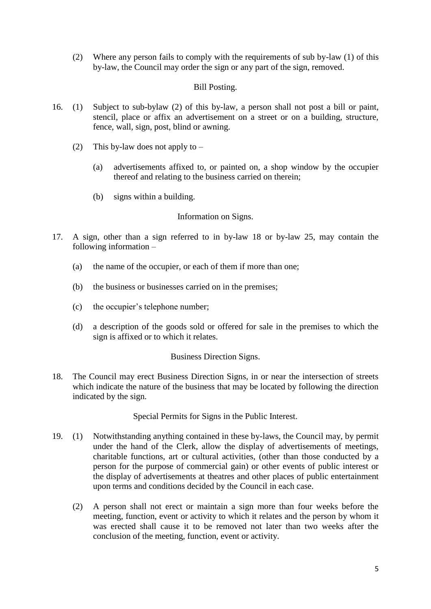(2) Where any person fails to comply with the requirements of sub by-law (1) of this by-law, the Council may order the sign or any part of the sign, removed.

# Bill Posting.

- 16. (1) Subject to sub-bylaw (2) of this by-law, a person shall not post a bill or paint, stencil, place or affix an advertisement on a street or on a building, structure, fence, wall, sign, post, blind or awning.
	- (2) This by-law does not apply to  $-$ 
		- (a) advertisements affixed to, or painted on, a shop window by the occupier thereof and relating to the business carried on therein;
		- (b) signs within a building.

# Information on Signs.

- 17. A sign, other than a sign referred to in by-law 18 or by-law 25, may contain the following information –
	- (a) the name of the occupier, or each of them if more than one;
	- (b) the business or businesses carried on in the premises;
	- (c) the occupier's telephone number;
	- (d) a description of the goods sold or offered for sale in the premises to which the sign is affixed or to which it relates.

### Business Direction Signs.

18. The Council may erect Business Direction Signs, in or near the intersection of streets which indicate the nature of the business that may be located by following the direction indicated by the sign.

Special Permits for Signs in the Public Interest.

- 19. (1) Notwithstanding anything contained in these by-laws, the Council may, by permit under the hand of the Clerk, allow the display of advertisements of meetings, charitable functions, art or cultural activities, (other than those conducted by a person for the purpose of commercial gain) or other events of public interest or the display of advertisements at theatres and other places of public entertainment upon terms and conditions decided by the Council in each case.
	- (2) A person shall not erect or maintain a sign more than four weeks before the meeting, function, event or activity to which it relates and the person by whom it was erected shall cause it to be removed not later than two weeks after the conclusion of the meeting, function, event or activity.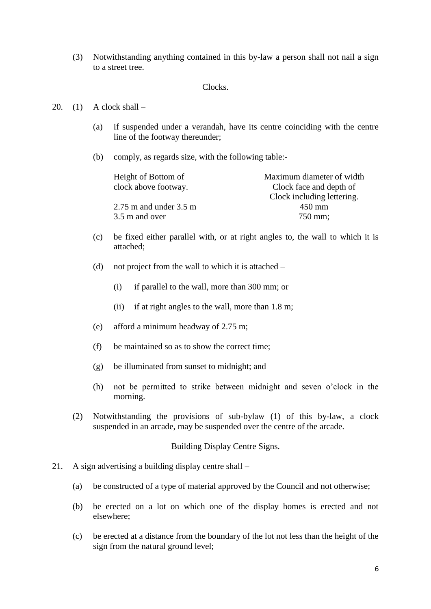(3) Notwithstanding anything contained in this by-law a person shall not nail a sign to a street tree.

### Clocks.

#### 20.  $(1)$  A clock shall –

- (a) if suspended under a verandah, have its centre coinciding with the centre line of the footway thereunder;
- (b) comply, as regards size, with the following table:-

| Height of Bottom of        | Maximum diameter of width  |
|----------------------------|----------------------------|
| clock above footway.       | Clock face and depth of    |
|                            | Clock including lettering. |
| $2.75$ m and under $3.5$ m | $450$ mm                   |
| 3.5 m and over             | 750 mm;                    |

- (c) be fixed either parallel with, or at right angles to, the wall to which it is attached;
- (d) not project from the wall to which it is attached
	- (i) if parallel to the wall, more than 300 mm; or
	- (ii) if at right angles to the wall, more than 1.8 m;
- (e) afford a minimum headway of 2.75 m;
- (f) be maintained so as to show the correct time;
- (g) be illuminated from sunset to midnight; and
- (h) not be permitted to strike between midnight and seven o'clock in the morning.
- (2) Notwithstanding the provisions of sub-bylaw (1) of this by-law, a clock suspended in an arcade, may be suspended over the centre of the arcade.

#### Building Display Centre Signs.

- 21. A sign advertising a building display centre shall
	- (a) be constructed of a type of material approved by the Council and not otherwise;
	- (b) be erected on a lot on which one of the display homes is erected and not elsewhere;
	- (c) be erected at a distance from the boundary of the lot not less than the height of the sign from the natural ground level;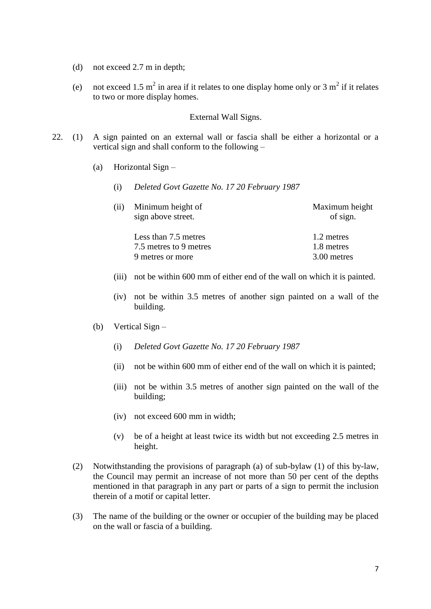- (d) not exceed 2.7 m in depth;
- (e) not exceed 1.5 m<sup>2</sup> in area if it relates to one display home only or 3 m<sup>2</sup> if it relates to two or more display homes.

#### External Wall Signs.

- 22. (1) A sign painted on an external wall or fascia shall be either a horizontal or a vertical sign and shall conform to the following –
	- (a) Horizontal Sign
		- (i) *Deleted Govt Gazette No. 17 20 February 1987*

| Maximum height<br>of sign. |  |
|----------------------------|--|
| 1.2 metres                 |  |
| 1.8 metres                 |  |
| 3.00 metres                |  |
|                            |  |

- (iii) not be within 600 mm of either end of the wall on which it is painted.
- (iv) not be within 3.5 metres of another sign painted on a wall of the building.
- (b) Vertical Sign
	- (i) *Deleted Govt Gazette No. 17 20 February 1987*
	- (ii) not be within 600 mm of either end of the wall on which it is painted;
	- (iii) not be within 3.5 metres of another sign painted on the wall of the building;
	- (iv) not exceed 600 mm in width;
	- (v) be of a height at least twice its width but not exceeding 2.5 metres in height.
- (2) Notwithstanding the provisions of paragraph (a) of sub-bylaw (1) of this by-law, the Council may permit an increase of not more than 50 per cent of the depths mentioned in that paragraph in any part or parts of a sign to permit the inclusion therein of a motif or capital letter.
- (3) The name of the building or the owner or occupier of the building may be placed on the wall or fascia of a building.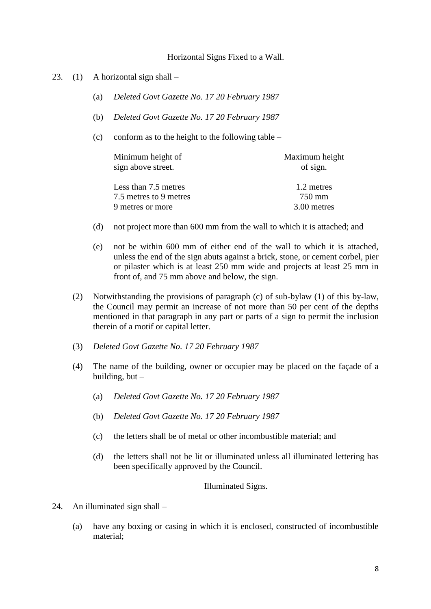#### Horizontal Signs Fixed to a Wall.

- 23. (1) A horizontal sign shall
	- (a) *Deleted Govt Gazette No. 17 20 February 1987*
	- (b) *Deleted Govt Gazette No. 17 20 February 1987*
	- (c) conform as to the height to the following table –

| Minimum height of      | Maximum height |
|------------------------|----------------|
| sign above street.     | of sign.       |
| Less than 7.5 metres   | 1.2 metres     |
| 7.5 metres to 9 metres | 750 mm         |
| 9 metres or more       | 3.00 metres    |

- (d) not project more than 600 mm from the wall to which it is attached; and
- (e) not be within 600 mm of either end of the wall to which it is attached, unless the end of the sign abuts against a brick, stone, or cement corbel, pier or pilaster which is at least 250 mm wide and projects at least 25 mm in front of, and 75 mm above and below, the sign.
- (2) Notwithstanding the provisions of paragraph (c) of sub-bylaw (1) of this by-law, the Council may permit an increase of not more than 50 per cent of the depths mentioned in that paragraph in any part or parts of a sign to permit the inclusion therein of a motif or capital letter.
- (3) *Deleted Govt Gazette No. 17 20 February 1987*
- (4) The name of the building, owner or occupier may be placed on the façade of a building, but  $-$ 
	- (a) *Deleted Govt Gazette No. 17 20 February 1987*
	- (b) *Deleted Govt Gazette No. 17 20 February 1987*
	- (c) the letters shall be of metal or other incombustible material; and
	- (d) the letters shall not be lit or illuminated unless all illuminated lettering has been specifically approved by the Council.

### Illuminated Signs.

- 24. An illuminated sign shall
	- (a) have any boxing or casing in which it is enclosed, constructed of incombustible material;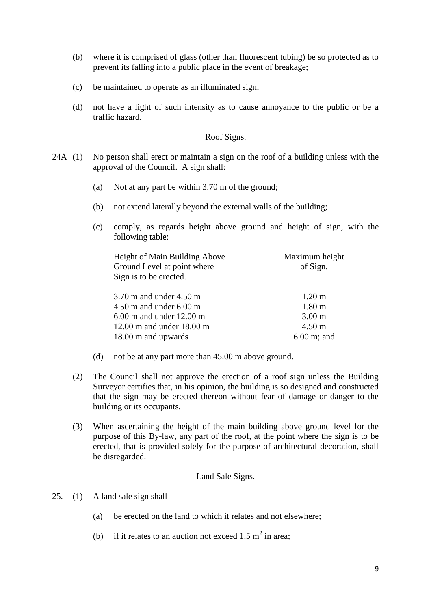- (b) where it is comprised of glass (other than fluorescent tubing) be so protected as to prevent its falling into a public place in the event of breakage;
- (c) be maintained to operate as an illuminated sign;
- (d) not have a light of such intensity as to cause annoyance to the public or be a traffic hazard.

### Roof Signs.

- 24A (1) No person shall erect or maintain a sign on the roof of a building unless with the approval of the Council. A sign shall:
	- (a) Not at any part be within 3.70 m of the ground;
	- (b) not extend laterally beyond the external walls of the building;
	- (c) comply, as regards height above ground and height of sign, with the following table:

| Height of Main Building Above | Maximum height         |  |
|-------------------------------|------------------------|--|
| Ground Level at point where   | of Sign.               |  |
| Sign is to be erected.        |                        |  |
|                               |                        |  |
| $3.70$ m and under $4.50$ m   | $1.20 \text{ m}$       |  |
| $4.50$ m and under $6.00$ m   | 1.80 <sub>m</sub>      |  |
| $6.00$ m and under 12.00 m    | 3.00 <sub>m</sub>      |  |
| $12.00$ m and under $18.00$ m | $4.50 \text{ m}$       |  |
| 18.00 m and upwards           | $6.00 \text{ m}$ ; and |  |

- (d) not be at any part more than 45.00 m above ground.
- (2) The Council shall not approve the erection of a roof sign unless the Building Surveyor certifies that, in his opinion, the building is so designed and constructed that the sign may be erected thereon without fear of damage or danger to the building or its occupants.
- (3) When ascertaining the height of the main building above ground level for the purpose of this By-law, any part of the roof, at the point where the sign is to be erected, that is provided solely for the purpose of architectural decoration, shall be disregarded.

### Land Sale Signs.

- 25. (1) A land sale sign shall  $-$ 
	- (a) be erected on the land to which it relates and not elsewhere;
	- (b) if it relates to an auction not exceed 1.5  $m^2$  in area;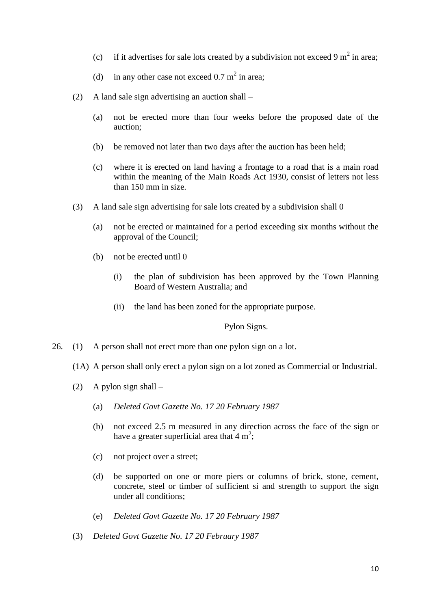- (c) if it advertises for sale lots created by a subdivision not exceed 9  $m^2$  in area;
- (d) in any other case not exceed  $0.7 \text{ m}^2$  in area;
- (2) A land sale sign advertising an auction shall
	- (a) not be erected more than four weeks before the proposed date of the auction;
	- (b) be removed not later than two days after the auction has been held;
	- (c) where it is erected on land having a frontage to a road that is a main road within the meaning of the Main Roads Act 1930, consist of letters not less than 150 mm in size.
- (3) A land sale sign advertising for sale lots created by a subdivision shall 0
	- (a) not be erected or maintained for a period exceeding six months without the approval of the Council;
	- (b) not be erected until 0
		- (i) the plan of subdivision has been approved by the Town Planning Board of Western Australia; and
		- (ii) the land has been zoned for the appropriate purpose.

Pylon Signs.

- 26. (1) A person shall not erect more than one pylon sign on a lot.
	- (1A) A person shall only erect a pylon sign on a lot zoned as Commercial or Industrial.
	- (2) A pylon sign shall  $-$ 
		- (a) *Deleted Govt Gazette No. 17 20 February 1987*
		- (b) not exceed 2.5 m measured in any direction across the face of the sign or have a greater superficial area that  $4 \text{ m}^2$ ;
		- (c) not project over a street;
		- (d) be supported on one or more piers or columns of brick, stone, cement, concrete, steel or timber of sufficient si and strength to support the sign under all conditions;
		- (e) *Deleted Govt Gazette No. 17 20 February 1987*
	- (3) *Deleted Govt Gazette No. 17 20 February 1987*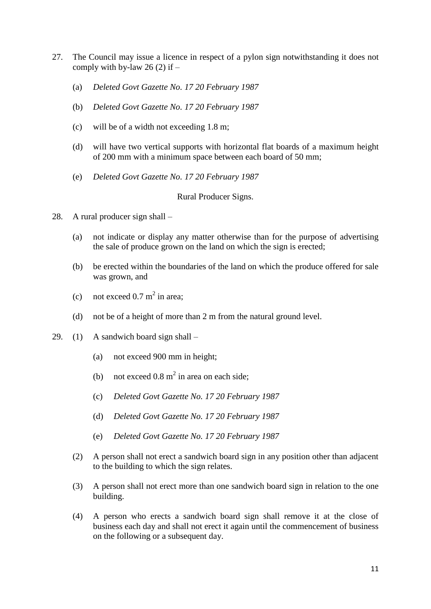- 27. The Council may issue a licence in respect of a pylon sign notwithstanding it does not comply with by-law 26  $(2)$  if –
	- (a) *Deleted Govt Gazette No. 17 20 February 1987*
	- (b) *Deleted Govt Gazette No. 17 20 February 1987*
	- (c) will be of a width not exceeding 1.8 m;
	- (d) will have two vertical supports with horizontal flat boards of a maximum height of 200 mm with a minimum space between each board of 50 mm;
	- (e) *Deleted Govt Gazette No. 17 20 February 1987*

# Rural Producer Signs.

- 28. A rural producer sign shall
	- (a) not indicate or display any matter otherwise than for the purpose of advertising the sale of produce grown on the land on which the sign is erected;
	- (b) be erected within the boundaries of the land on which the produce offered for sale was grown, and
	- (c) not exceed  $0.7 \text{ m}^2$  in area;
	- (d) not be of a height of more than 2 m from the natural ground level.
- 29. (1) A sandwich board sign shall
	- (a) not exceed 900 mm in height;
	- (b) not exceed  $0.8 \text{ m}^2$  in area on each side;
	- (c) *Deleted Govt Gazette No. 17 20 February 1987*
	- (d) *Deleted Govt Gazette No. 17 20 February 1987*
	- (e) *Deleted Govt Gazette No. 17 20 February 1987*
	- (2) A person shall not erect a sandwich board sign in any position other than adjacent to the building to which the sign relates.
	- (3) A person shall not erect more than one sandwich board sign in relation to the one building.
	- (4) A person who erects a sandwich board sign shall remove it at the close of business each day and shall not erect it again until the commencement of business on the following or a subsequent day.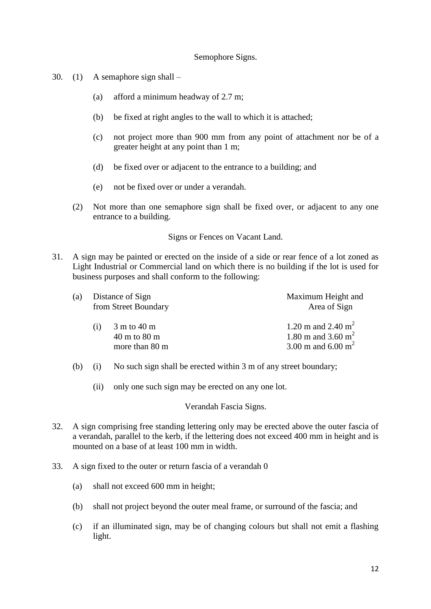### Semophore Signs.

- 30. (1) A semaphore sign shall
	- (a) afford a minimum headway of 2.7 m;
	- (b) be fixed at right angles to the wall to which it is attached;
	- (c) not project more than 900 mm from any point of attachment nor be of a greater height at any point than 1 m;
	- (d) be fixed over or adjacent to the entrance to a building; and
	- (e) not be fixed over or under a verandah.
	- (2) Not more than one semaphore sign shall be fixed over, or adjacent to any one entrance to a building.

Signs or Fences on Vacant Land.

31. A sign may be painted or erected on the inside of a side or rear fence of a lot zoned as Light Industrial or Commercial land on which there is no building if the lot is used for business purposes and shall conform to the following:

| (a) | Distance of Sign<br>from Street Boundary |                                                                             | Maximum Height and<br>Area of Sign                                                        |  |
|-----|------------------------------------------|-----------------------------------------------------------------------------|-------------------------------------------------------------------------------------------|--|
|     | (1)                                      | $3 \text{ m}$ to 40 m<br>$40 \text{ m}$ to $80 \text{ m}$<br>more than 80 m | 1.20 m and 2.40 $m^2$<br>1.80 m and 3.60 m <sup>2</sup><br>3.00 m and 6.00 m <sup>2</sup> |  |

- (b) (i) No such sign shall be erected within 3 m of any street boundary;
	- (ii) only one such sign may be erected on any one lot.

Verandah Fascia Signs.

- 32. A sign comprising free standing lettering only may be erected above the outer fascia of a verandah, parallel to the kerb, if the lettering does not exceed 400 mm in height and is mounted on a base of at least 100 mm in width.
- 33. A sign fixed to the outer or return fascia of a verandah 0
	- (a) shall not exceed 600 mm in height;
	- (b) shall not project beyond the outer meal frame, or surround of the fascia; and
	- (c) if an illuminated sign, may be of changing colours but shall not emit a flashing light.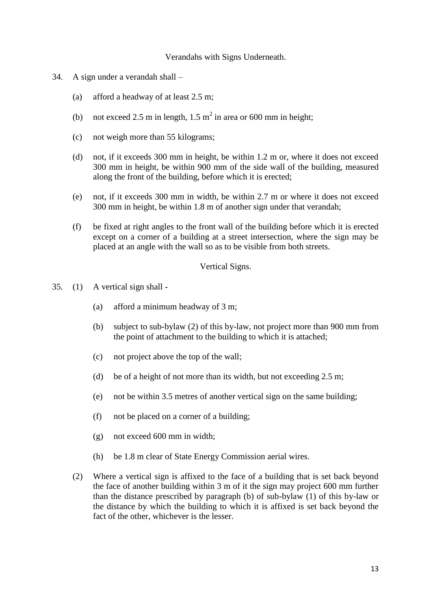#### Verandahs with Signs Underneath.

- 34. A sign under a verandah shall
	- (a) afford a headway of at least 2.5 m;
	- (b) not exceed 2.5 m in length,  $1.5 \text{ m}^2$  in area or 600 mm in height;
	- (c) not weigh more than 55 kilograms;
	- (d) not, if it exceeds 300 mm in height, be within 1.2 m or, where it does not exceed 300 mm in height, be within 900 mm of the side wall of the building, measured along the front of the building, before which it is erected;
	- (e) not, if it exceeds 300 mm in width, be within 2.7 m or where it does not exceed 300 mm in height, be within 1.8 m of another sign under that verandah;
	- (f) be fixed at right angles to the front wall of the building before which it is erected except on a corner of a building at a street intersection, where the sign may be placed at an angle with the wall so as to be visible from both streets.

#### Vertical Signs.

- 35. (1) A vertical sign shall
	- (a) afford a minimum headway of 3 m;
	- (b) subject to sub-bylaw (2) of this by-law, not project more than 900 mm from the point of attachment to the building to which it is attached;
	- (c) not project above the top of the wall;
	- (d) be of a height of not more than its width, but not exceeding 2.5 m;
	- (e) not be within 3.5 metres of another vertical sign on the same building;
	- (f) not be placed on a corner of a building;
	- (g) not exceed 600 mm in width;
	- (h) be 1.8 m clear of State Energy Commission aerial wires.
	- (2) Where a vertical sign is affixed to the face of a building that is set back beyond the face of another building within 3 m of it the sign may project 600 mm further than the distance prescribed by paragraph (b) of sub-bylaw (1) of this by-law or the distance by which the building to which it is affixed is set back beyond the fact of the other, whichever is the lesser.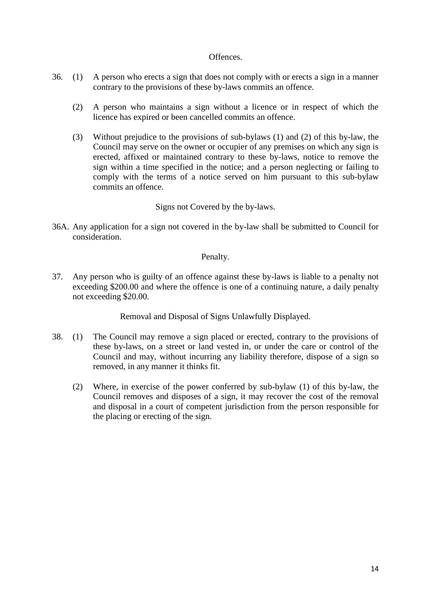### Offences.

- 36. (1) A person who erects a sign that does not comply with or erects a sign in a manner contrary to the provisions of these by-laws commits an offence.
	- (2) A person who maintains a sign without a licence or in respect of which the licence has expired or been cancelled commits an offence.
	- (3) Without prejudice to the provisions of sub-bylaws (1) and (2) of this by-law, the Council may serve on the owner or occupier of any premises on which any sign is erected, affixed or maintained contrary to these by-laws, notice to remove the sign within a time specified in the notice; and a person neglecting or failing to comply with the terms of a notice served on him pursuant to this sub-bylaw commits an offence.

Signs not Covered by the by-laws.

36A. Any application for a sign not covered in the by-law shall be submitted to Council for consideration.

# Penalty.

37. Any person who is guilty of an offence against these by-laws is liable to a penalty not exceeding \$200.00 and where the offence is one of a continuing nature, a daily penalty not exceeding \$20.00.

Removal and Disposal of Signs Unlawfully Displayed.

- 38. (1) The Council may remove a sign placed or erected, contrary to the provisions of these by-laws, on a street or land vested in, or under the care or control of the Council and may, without incurring any liability therefore, dispose of a sign so removed, in any manner it thinks fit.
	- (2) Where, in exercise of the power conferred by sub-bylaw (1) of this by-law, the Council removes and disposes of a sign, it may recover the cost of the removal and disposal in a court of competent jurisdiction from the person responsible for the placing or erecting of the sign.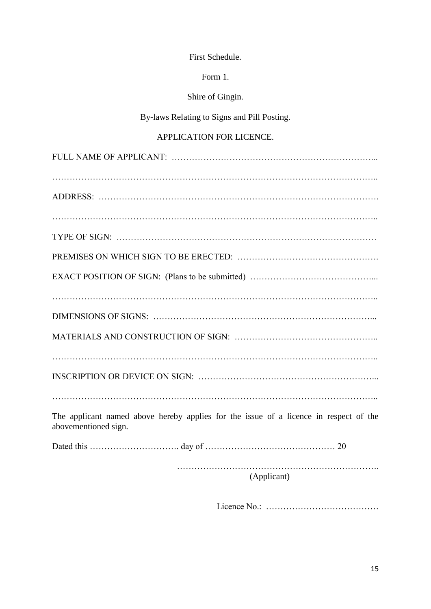Form 1.

Shire of Gingin.

By-laws Relating to Signs and Pill Posting.

# APPLICATION FOR LICENCE.

| The applicant named above hereby applies for the issue of a licence in respect of the<br>abovementioned sign. |
|---------------------------------------------------------------------------------------------------------------|
|                                                                                                               |
|                                                                                                               |

(Applicant)

Licence No.: …………………………………